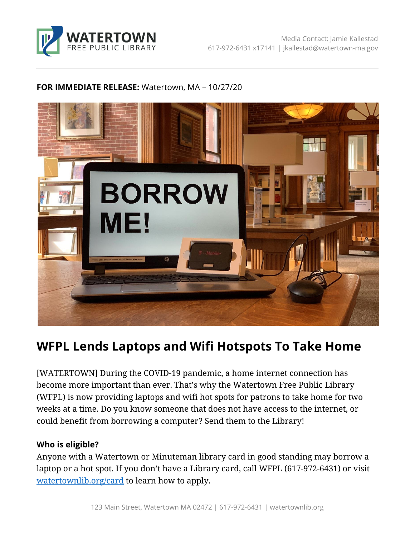

## **FOR IMMEDIATE RELEASE:** Watertown, MA – 10/27/20



# **WFPL Lends Laptops and Wifi Hotspots To Take Home**

[WATERTOWN] During the COVID-19 pandemic, a home internet connection has become more important than ever. That's why the Watertown Free Public Library (WFPL) is now providing laptops and wifi hot spots for patrons to take home for two weeks at a time. Do you know someone that does not have access to the internet, or could benefit from borrowing a computer? Send them to the Library!

## **Who is eligible?**

Anyone with a Watertown or Minuteman library card in good standing may borrow a laptop or a hot spot. If you don't have a Library card, call WFPL (617-972-6431) or visit <watertownlib.org/card> to learn how to apply.